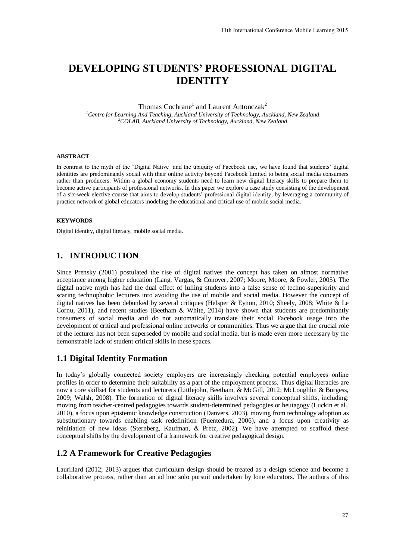# **DEVELOPING STUDENTS' PROFESSIONAL DIGITAL IDENTITY**

Thomas Cochrane<sup>1</sup> and Laurent Antonczak<sup>2</sup>

*<sup>1</sup>Centre for Learning And Teaching, Auckland University of Technology, Auckland, New Zealand <sup>2</sup>COLAB, Auckland University of Technology, Auckland, New Zealand* 

#### **ABSTRACT**

In contrast to the myth of the 'Digital Native' and the ubiquity of Facebook use, we have found that students' digital identities are predominantly social with their online activity beyond Facebook limited to being social media consumers rather than producers. Within a global economy students need to learn new digital literacy skills to prepare them to become active participants of professional networks. In this paper we explore a case study consisting of the development of a six-week elective course that aims to develop students' professional digital identity, by leveraging a community of practice network of global educators modeling the educational and critical use of mobile social media.

#### **KEYWORDS**

Digital identity, digital literacy, mobile social media.

# **1. INTRODUCTION**

Since Prensky [\(2001\)](#page-7-0) postulated the rise of digital natives the concept has taken on almost normative acceptance among higher education [\(Lang, Vargas, & Conover, 2007;](#page-7-1) Moore, Moore, & Fowler, 2005). The digital native myth has had the dual effect of lulling students into a false sense of techno-superiority and scaring technophobic lecturers into avoiding the use of mobile and social media. However the concept of digital natives has been debunked by several critiques [\(Helsper & Eynon, 2010;](#page-7-3) Sheely, 2008; White & Le [Cornu, 2011\)](#page-7-5), and recent studies [\(Beetham & White, 2014\)](#page-7-6) have shown that students are predominantly consumers of social media and do not automatically translate their social Facebook usage into the development of critical and professional online networks or communities. Thus we argue that the crucial role of the lecturer has not been superseded by mobile and social media, but is made even more necessary by the demonstrable lack of student critical skills in these spaces. 11th International Conference Mobile Learning 2015<br> **OFESSIONAL DIGITAL**<br> **Tractional Conference And A New Zealand**<br> **Tracebook use, we have found that students' digital**<br> **Tracebook use, we have found that students' digit** 

#### **1.1 Digital Identity Formation**

In today's globally connected society employers are increasingly checking potential employees online profiles in order to determine their suitability as a part of the employment process. Thus digital literacies are now a core skillset for students and lecturers [\(Littlejohn, Beetham, & McGill, 2012;](#page-7-7) McLoughlin & Burgess, [2009;](#page-7-8) [Walsh, 2008\)](#page-7-9). The formation of digital literacy skills involves several conceptual shifts, including: moving from teacher-centred pedagogies towards student-determined pedagogies or heutagogy (Luckin et al., [2010\)](#page-7-10), a focus upon epistemic knowledge construction [\(Danvers, 2003\)](#page-7-11), moving from technology adoption as substitutionary towards enabling task redefinition [\(Puentedura, 2006\)](#page-7-12), and a focus upon creativity as reinitiation of new ideas [\(Sternberg, Kaufman, & Pretz, 2002\)](#page-7-13). We have attempted to scaffold these conceptual shifts by the development of a framework for creative pedagogical design.

#### **1.2 A Framework for Creative Pedagogies**

Laurillard [\(2012;](#page-7-14) [2013\)](#page-7-15) argues that curriculum design should be treated as a design science and become a collaborative process, rather than an ad hoc solo pursuit undertaken by lone educators. The authors of this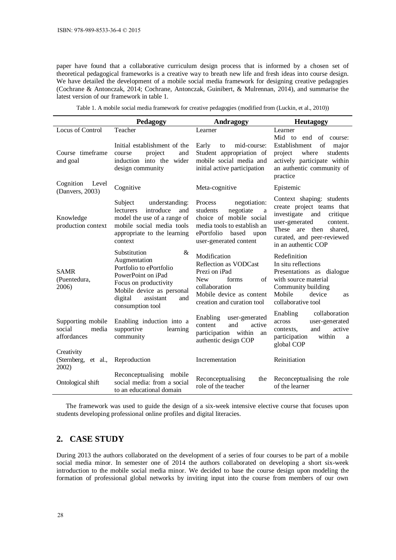paper have found that a collaborative curriculum design process that is informed by a chosen set of theoretical pedagogical frameworks is a creative way to breath new life and fresh ideas into course design. We have detailed the development of a mobile social media framework for designing creative pedagogies [\(Cochrane & Antonczak, 2014;](#page-7-16) [Cochrane, Antonczak, Guinibert, & Mulrennan, 2014\)](#page-7-17), and summarise the latest version of our framework in table 1.

Table 1. A mobile social media framework for creative pedagogies (modified from [\(Luckin, et al., 2010\)](#page-7-10))

|                                                     | Pedagogy                                                                                                                                                                                    | Andragogy                                                                                                                                                                | <b>Heutagogy</b>                                                                                                                                                                                            |  |  |
|-----------------------------------------------------|---------------------------------------------------------------------------------------------------------------------------------------------------------------------------------------------|--------------------------------------------------------------------------------------------------------------------------------------------------------------------------|-------------------------------------------------------------------------------------------------------------------------------------------------------------------------------------------------------------|--|--|
| Locus of Control                                    | Teacher                                                                                                                                                                                     | Learner                                                                                                                                                                  | Learner<br>Mid to end of course:                                                                                                                                                                            |  |  |
| Course timeframe<br>and goal                        | Initial establishment of the<br>project<br>and<br>course<br>induction into the wider<br>design community                                                                                    | Early<br>mid-course:<br>to<br>Student appropriation of<br>mobile social media and<br>initial active participation                                                        | of<br>Establishment<br>major<br>project<br>where<br>students<br>actively participate within<br>an authentic community of<br>practice                                                                        |  |  |
| Cognition<br>Level<br>(Danvers, 2003)               | Cognitive                                                                                                                                                                                   | Meta-cognitive                                                                                                                                                           | Epistemic                                                                                                                                                                                                   |  |  |
| Knowledge<br>production context                     | Subject<br>understanding:<br><b>lecturers</b><br>introduce<br>and<br>model the use of a range of<br>mobile social media tools<br>appropriate to the learning<br>context                     | Process<br>negotiation:<br>negotiate<br>students<br>a<br>choice of mobile social<br>media tools to establish an<br>ePortfolio<br>based<br>upon<br>user-generated content | Context shaping: students<br>create project teams that<br>investigate<br>and<br>critique<br>user-generated<br>content.<br>These are<br>then<br>shared.<br>curated, and peer-reviewed<br>in an authentic COP |  |  |
| <b>SAMR</b><br>(Puentedura,<br>2006)                | &<br>Substitution<br>Augmentation<br>Portfolio to ePortfolio<br>PowerPoint on iPad<br>Focus on productivity<br>Mobile device as personal<br>assistant<br>digital<br>and<br>consumption tool | Modification<br>Reflection as VODCast<br>Prezi on iPad<br><b>New</b><br>forms<br>of<br>collaboration<br>Mobile device as content<br>creation and curation tool           | Redefinition<br>In situ reflections<br>Presentations as dialogue<br>with source material<br>Community building<br>Mobile<br>device<br><b>as</b><br>collaborative tool                                       |  |  |
| Supporting mobile<br>social<br>media<br>affordances | Enabling induction into a<br>supportive<br>learning<br>community                                                                                                                            | Enabling<br>user-generated<br>and<br>content<br>active<br>participation within<br>an<br>authentic design COP                                                             | collaboration<br>Enabling<br>across<br>user-generated<br>and<br>active<br>contexts,<br>within<br>participation<br>a<br>global COP                                                                           |  |  |
| Creativity<br>(Sternberg,<br>et al.,<br>2002)       | Reproduction                                                                                                                                                                                | Incrementation                                                                                                                                                           | Reinitiation                                                                                                                                                                                                |  |  |
| Ontological shift                                   | Reconceptualising mobile<br>social media: from a social<br>to an educational domain                                                                                                         | Reconceptualising<br>the<br>role of the teacher                                                                                                                          | Reconceptualising the role<br>of the learner                                                                                                                                                                |  |  |

The framework was used to guide the design of a six-week intensive elective course that focuses upon students developing professional online profiles and digital literacies.

# **2. CASE STUDY**

During 2013 the authors collaborated on the development of a series of four courses to be part of a mobile social media minor. In semester one of 2014 the authors collaborated on developing a short six-week introduction to the mobile social media minor. We decided to base the course design upon modeling the formation of professional global networks by inviting input into the course from members of our own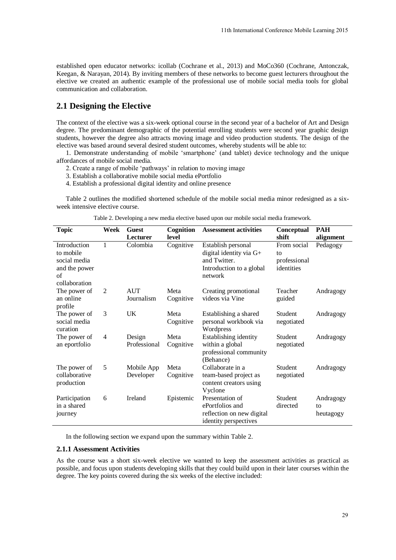## **2.1 Designing the Elective**

- 2. Create a range of mobile 'pathways' in relation to moving image
- 3. Establish a collaborative mobile social media ePortfolio
- 4. Establish a professional digital identity and online presence

|  |  |  |  |  |  | Table 2. Developing a new media elective based upon our mobile social media framework. |  |
|--|--|--|--|--|--|----------------------------------------------------------------------------------------|--|
|  |  |  |  |  |  |                                                                                        |  |

|                                                                  |      |                                                                                                                                 |                    | 11th International Conference Mobile Learning 2015                                                                                                                                                                                                                                                                                                                                                                                                                                                                                                                                                               |                                                 |                              |
|------------------------------------------------------------------|------|---------------------------------------------------------------------------------------------------------------------------------|--------------------|------------------------------------------------------------------------------------------------------------------------------------------------------------------------------------------------------------------------------------------------------------------------------------------------------------------------------------------------------------------------------------------------------------------------------------------------------------------------------------------------------------------------------------------------------------------------------------------------------------------|-------------------------------------------------|------------------------------|
| communication and collaboration.                                 |      |                                                                                                                                 |                    | established open educator networks: icollab (Cochrane et al., 2013) and MoCo360 (Cochrane, Antonczak,<br>Keegan, & Narayan, 2014). By inviting members of these networks to become guest lecturers throughout the<br>elective we created an authentic example of the professional use of mobile social media tools for global                                                                                                                                                                                                                                                                                    |                                                 |                              |
| 2.1 Designing the Elective                                       |      |                                                                                                                                 |                    |                                                                                                                                                                                                                                                                                                                                                                                                                                                                                                                                                                                                                  |                                                 |                              |
| affordances of mobile social media.                              |      | 3. Establish a collaborative mobile social media ePortfolio<br>4. Establish a professional digital identity and online presence |                    | The context of the elective was a six-week optional course in the second year of a bachelor of Art and Design<br>degree. The predominant demographic of the potential enrolling students were second year graphic design<br>students, however the degree also attracts moving image and video production students. The design of the<br>elective was based around several desired student outcomes, whereby students will be able to:<br>1. Demonstrate understanding of mobile 'smartphone' (and tablet) device technology and the unique<br>2. Create a range of mobile 'pathways' in relation to moving image |                                                 |                              |
| week intensive elective course.                                  |      |                                                                                                                                 |                    | Table 2 outlines the modified shortened schedule of the mobile social media minor redesigned as a six-                                                                                                                                                                                                                                                                                                                                                                                                                                                                                                           |                                                 |                              |
|                                                                  |      |                                                                                                                                 |                    | Table 2. Developing a new media elective based upon our mobile social media framework.                                                                                                                                                                                                                                                                                                                                                                                                                                                                                                                           |                                                 |                              |
| <b>Topic</b>                                                     | Week | <b>Guest</b><br>Lecturer                                                                                                        | Cognition<br>level | <b>Assessment activities</b>                                                                                                                                                                                                                                                                                                                                                                                                                                                                                                                                                                                     | <b>Conceptual</b><br>shift                      | <b>PAH</b><br>alignment      |
| Introduction<br>to mobile<br>social media<br>and the power<br>of | 1    | Colombia                                                                                                                        | Cognitive          | Establish personal<br>digital identity via $G+$<br>and Twitter.<br>Introduction to a global<br>network                                                                                                                                                                                                                                                                                                                                                                                                                                                                                                           | From social<br>to<br>professional<br>identities | Pedagogy                     |
| collaboration<br>The power of<br>an online<br>profile            | 2    | <b>AUT</b><br>Journalism                                                                                                        | Meta<br>Cognitive  | Creating promotional<br>videos via Vine                                                                                                                                                                                                                                                                                                                                                                                                                                                                                                                                                                          | Teacher<br>guided                               | Andragogy                    |
| The power of<br>social media<br>curation                         | 3    | UK                                                                                                                              | Meta<br>Cognitive  | Establishing a shared<br>personal workbook via<br>Wordpress                                                                                                                                                                                                                                                                                                                                                                                                                                                                                                                                                      | Student<br>negotiated                           | Andragogy                    |
| The power of<br>an eportfolio                                    | 4    | Design<br>Professional                                                                                                          | Meta<br>Cognitive  | Establishing identity<br>within a global<br>professional community<br>(Behance)                                                                                                                                                                                                                                                                                                                                                                                                                                                                                                                                  | Student<br>negotiated                           | Andragogy                    |
| The power of<br>collaborative<br>production                      | 5    | Mobile App<br>Developer                                                                                                         | Meta<br>Cognitive  | Collaborate in a<br>team-based project as<br>content creators using<br>Vyclone                                                                                                                                                                                                                                                                                                                                                                                                                                                                                                                                   | Student<br>negotiated                           | Andragogy                    |
| Participation<br>in a shared<br>journey                          | 6    | Ireland                                                                                                                         | Epistemic          | Presentation of<br>ePortfolios and<br>reflection on new digital<br>identity perspectives                                                                                                                                                                                                                                                                                                                                                                                                                                                                                                                         | Student<br>directed                             | Andragogy<br>to<br>heutagogy |
|                                                                  |      |                                                                                                                                 |                    | In the following section we expand upon the summary within Table 2.                                                                                                                                                                                                                                                                                                                                                                                                                                                                                                                                              |                                                 |                              |
| <b>2.1.1 Assessment Activities</b>                               |      |                                                                                                                                 |                    |                                                                                                                                                                                                                                                                                                                                                                                                                                                                                                                                                                                                                  |                                                 |                              |
|                                                                  |      |                                                                                                                                 |                    | As the course was a short six-week elective we wanted to keep the assessment activities as practical as<br>possible, and focus upon students developing skills that they could build upon in their later courses within the<br>degree. The key points covered during the six weeks of the elective included:                                                                                                                                                                                                                                                                                                     |                                                 |                              |
|                                                                  |      |                                                                                                                                 |                    |                                                                                                                                                                                                                                                                                                                                                                                                                                                                                                                                                                                                                  |                                                 | 29                           |

#### **2.1.1 Assessment Activities**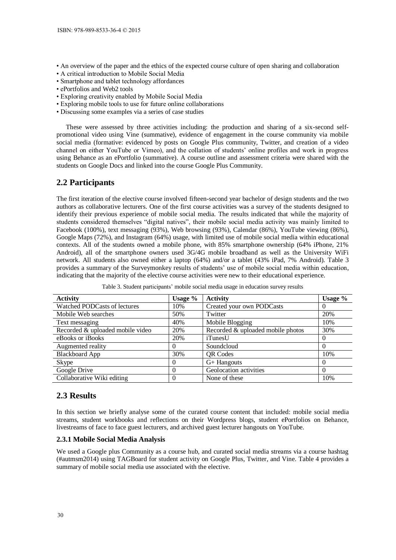- An overview of the paper and the ethics of the expected course culture of open sharing and collaboration
- A critical introduction to Mobile Social Media
- Smartphone and tablet technology affordances
- ePortfolios and Web2 tools
- Exploring creativity enabled by Mobile Social Media
- Exploring mobile tools to use for future online collaborations
- Discussing some examples via a series of case studies

These were assessed by three activities including: the production and sharing of a six-second selfpromotional video using Vine (summative), evidence of engagement in the course community via mobile social media (formative: evidenced by posts on Google Plus community, Twitter, and creation of a video channel on either YouTube or Vimeo), and the collation of students' online profiles and work in progress using Behance as an ePortfolio (summative). A course outline and assessment criteria were shared with the students on Google Docs and linked into the course Google Plus Community.

### **2.2 Participants**

The first iteration of the elective course involved fifteen-second year bachelor of design students and the two authors as collaborative lecturers. One of the first course activities was a survey of the students designed to identify their previous experience of mobile social media. The results indicated that while the majority of students considered themselves "digital natives", their mobile social media activity was mainly limited to Facebook (100%), text messaging (93%), Web browsing (93%), Calendar (86%), YouTube viewing (86%), Google Maps (72%), and Instagram (64%) usage, with limited use of mobile social media within educational contexts. All of the students owned a mobile phone, with 85% smartphone ownership (64% iPhone, 21% Android), all of the smartphone owners used 3G/4G mobile broadband as well as the University WiFi network. All students also owned either a laptop (64%) and/or a tablet (43% iPad, 7% Android). Table 3 provides a summary of the Surveymonkey results of students' use of mobile social media within education, indicating that the majority of the elective course activities were new to their educational experience.

| <b>Activity</b>                        | Usage $\%$ | <b>Activity</b>                   | Usage %  |
|----------------------------------------|------------|-----------------------------------|----------|
| Watched PODCasts of lectures           | 10%        | Created your own PODCasts         | $\theta$ |
| Mobile Web searches                    | 50%        | Twitter                           | 20%      |
| Text messaging                         | 40%        | Mobile Blogging                   | 10%      |
| Recorded & uploaded mobile video       | 20%        | Recorded & uploaded mobile photos | 30%      |
| eBooks or iBooks                       | 20%        | iTunesU                           | $\theta$ |
| Augmented reality                      |            | Soundcloud                        |          |
| <b>Blackboard App</b>                  | 30%        | <b>QR</b> Codes                   | 10%      |
| Skype                                  | $\theta$   | $G+$ Hangouts                     | $\theta$ |
| Google Drive                           | $\theta$   | Geolocation activities            | $\theta$ |
| Collaborative Wiki editing<br>$\Omega$ |            | None of these                     | 10%      |

Table 3. Student participants' mobile social media usage in education survey results

#### **2.3 Results**

In this section we briefly analyse some of the curated course content that included: mobile social media streams, student workbooks and reflections on their Wordpress blogs, student ePortfolios on Behance, livestreams of face to face guest lecturers, and archived guest lecturer hangouts on YouTube.

#### **2.3.1 Mobile Social Media Analysis**

We used a Google plus Community as a course hub, and curated social media streams via a course hashtag (#autmsm2014) using TAGBoard for student activity on Google Plus, Twitter, and Vine. Table 4 provides a summary of mobile social media use associated with the elective.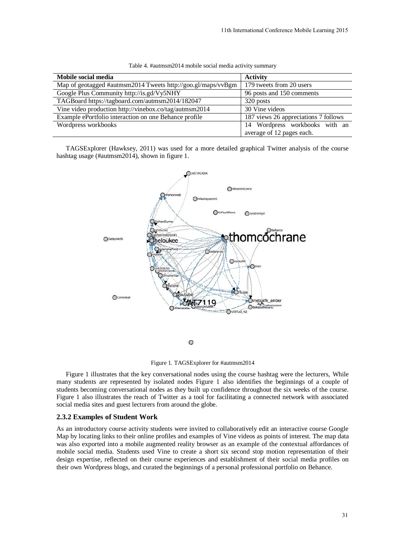| Mobile social media                                          | <b>Activity</b>                      |
|--------------------------------------------------------------|--------------------------------------|
| Map of geotagged #autmsm2014 Tweets http://goo.gl/maps/vvBgm | 179 tweets from 20 users             |
| Google Plus Community http://is.gd/Vy5NHY                    | 96 posts and 150 comments            |
| TAGBoard https://tagboard.com/autmsm2014/182047              | 320 posts                            |
| Vine video production http://vinebox.co/tag/autmsm2014       | 30 Vine videos                       |
| Example ePortfolio interaction on one Behance profile        | 187 views 26 appreciations 7 follows |
| Wordpress workbooks                                          | 14 Wordpress workbooks with an       |
|                                                              | average of 12 pages each.            |

| Table 4. #autmsm2014 mobile social media activity summary |  |  |  |  |
|-----------------------------------------------------------|--|--|--|--|
|-----------------------------------------------------------|--|--|--|--|

TAGSExplorer [\(Hawksey, 2011\)](#page-7-20) was used for a more detailed graphical Twitter analysis of the course hashtag usage (#autmsm2014), shown in figure 1.





Figure 1 illustrates that the key conversational nodes using the course hashtag were the lecturers, While many students are represented by isolated nodes Figure 1 also identifies the beginnings of a couple of students becoming conversational nodes as they built up confidence throughout the six weeks of the course. Figure 1 also illustrates the reach of Twitter as a tool for facilitating a connected network with associated social media sites and guest lecturers from around the globe.

#### **2.3.2 Examples of Student Work**

As an introductory course activity students were invited to collaboratively edit an interactive course Google Map by locating links to their online profiles and examples of Vine videos as points of interest. The map data was also exported into a mobile augmented reality browser as an example of the contextual affordances of mobile social media. Students used Vine to create a short six second stop motion representation of their design expertise, reflected on their course experiences and establishment of their social media profiles on their own Wordpress blogs, and curated the beginnings of a personal professional portfolio on Behance.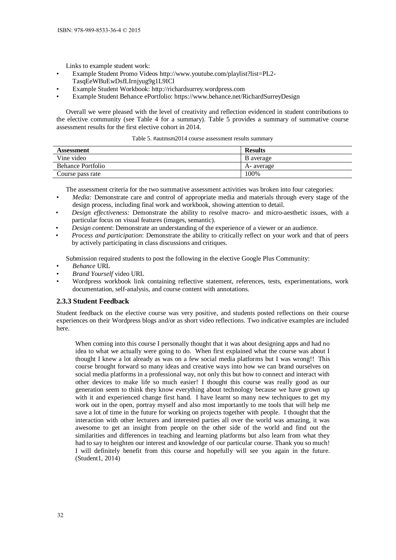Links to example student work:

- Example Student Promo Videos http://www.youtube.com/playlist?list=PL2- TasqEeWBuEwDsfLIrnjyug9g1L9ICl
- Example Student Workbook: http://richardsurrey.wordpress.com
- Example Student Behance ePortfolio: https://www.behance.net/RichardSurreyDesign

Overall we were pleased with the level of creativity and reflection evidenced in student contributions to the elective community (see Table 4 for a summary). Table 5 provides a summary of summative course assessment results for the first elective cohort in 2014.

Table 5. #autmsm2014 course assessment results summary

| Assessment        | <b>Results</b> |
|-------------------|----------------|
| Vine video        | B average      |
| Behance Portfolio | A- average     |
| Course pass rate  | 100%           |

The assessment criteria for the two summative assessment activities was broken into four categories:

- *Media:* Demonstrate care and control of appropriate media and materials through every stage of the design process, including final work and workbook, showing attention to detail.
- *Design effectiveness:* Demonstrate the ability to resolve macro- and micro-aesthetic issues, with a particular focus on visual features (images, semantic).
- *Design content*: Demonstrate an understanding of the experience of a viewer or an audience.
- *Process and participation*: Demonstrate the ability to critically reflect on your work and that of peers by actively participating in class discussions and critiques.

Submission required students to post the following in the elective Google Plus Community:

- *Behance* URL
- *Brand Yourself* video URL
- Wordpress workbook link containing reflective statement, references, tests, experimentations, work documentation, self-analysis, and course content with annotations.

#### **2.3.3 Student Feedback**

Student feedback on the elective course was very positive, and students posted reflections on their course experiences on their Wordpress blogs and/or as short video reflections. Two indicative examples are included here.

When coming into this course I personally thought that it was about designing apps and had no idea to what we actually were going to do. When first explained what the course was about I thought I knew a lot already as was on a few social media platforms but I was wrong!! This course brought forward so many ideas and creative ways into how we can brand ourselves on social media platforms in a professional way, not only this but how to connect and interact with other devices to make life so much easier! I thought this course was really good as our generation seem to think they know everything about technology because we have grown up with it and experienced change first hand. I have learnt so many new techniques to get my work out in the open, portray myself and also most importantly to me tools that will help me save a lot of time in the future for working on projects together with people. I thought that the interaction with other lecturers and interested parties all over the world was amazing, it was awesome to get an insight from people on the other side of the world and find out the similarities and differences in teaching and learning platforms but also learn from what they had to say to heighten our interest and knowledge of our particular course. Thank you so much! I will definitely benefit from this course and hopefully will see you again in the future. (Student1, 2014)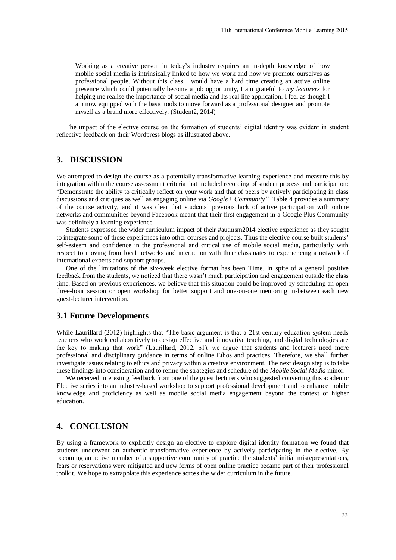Working as a creative person in today's industry requires an in-depth knowledge of how mobile social media is intrinsically linked to how we work and how we promote ourselves as professional people. Without this class I would have a hard time creating an active online presence which could potentially become a job opportunity, I am grateful to *my lecturers* for helping me realise the importance of social media and Its real life application. I feel as though I am now equipped with the basic tools to move forward as a professional designer and promote myself as a brand more effectively. (Student2, 2014)

The impact of the elective course on the formation of students' digital identity was evident in student reflective feedback on their Wordpress blogs as illustrated above.

## **3. DISCUSSION**

We attempted to design the course as a potentially transformative learning experience and measure this by integration within the course assessment criteria that included recording of student process and participation: "Demonstrate the ability to critically reflect on your work and that of peers by actively participating in class discussions and critiques as well as engaging online via *Google+ Community".* Table 4 provides a summary of the course activity, and it was clear that students' previous lack of active participation with online networks and communities beyond Facebook meant that their first engagement in a Google Plus Community was definitely a learning experience. 11th International Conference Mobile Learning 2015<br>equires an in-depth knowledge of how<br>work and how we promote ourselves as<br>e a hard time creating an active online<br>tunity. I am grateful to my lecturers for<br>Its real life

Students expressed the wider curriculum impact of their #autmsm2014 elective experience as they sought to integrate some of these experiences into other courses and projects. Thus the elective course built students' self-esteem and confidence in the professional and critical use of mobile social media, particularly with respect to moving from local networks and interaction with their classmates to experiencing a network of international experts and support groups.

One of the limitations of the six-week elective format has been Time. In spite of a general positive feedback from the students, we noticed that there wasn't much participation and engagement outside the class time. Based on previous experiences, we believe that this situation could be improved by scheduling an open three-hour session or open workshop for better support and one-on-one mentoring in-between each new guest-lecturer intervention.

#### **3.1 Future Developments**

While Laurillard (2012) highlights that "The basic argument is that a 21st century education system needs teachers who work collaboratively to design effective and innovative teaching, and digital technologies are the key to making that work" (Laurillard, 2012, p1), we argue that students and lecturers need more professional and disciplinary guidance in terms of online Ethos and practices. Therefore, we shall further investigate issues relating to ethics and privacy within a creative environment. The next design step is to take these findings into consideration and to refine the strategies and schedule of the *Mobile Social Media* minor.

We received interesting feedback from one of the guest lecturers who suggested converting this academic Elective series into an industry-based workshop to support professional development and to enhance mobile knowledge and proficiency as well as mobile social media engagement beyond the context of higher education.

# **4. CONCLUSION**

By using a framework to explicitly design an elective to explore digital identity formation we found that students underwent an authentic transformative experience by actively participating in the elective. By becoming an active member of a supportive community of practice the students' initial misrepresentations, fears or reservations were mitigated and new forms of open online practice became part of their professional toolkit. We hope to extrapolate this experience across the wider curriculum in the future.